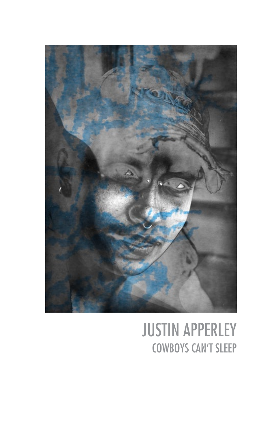

## JUSTIN APPERLEY COWBOYS CAN'T SLEEP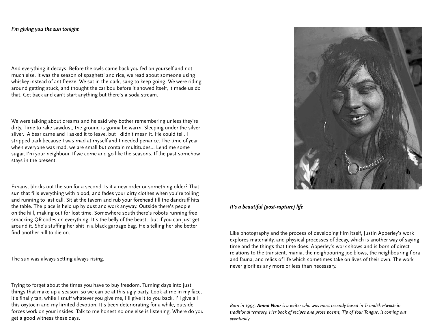## *I'm giving you the sun tonight*

And everything it decays. Before the owls came back you fed on yourself and not much else. It was the season of spaghetti and rice, we read about someone using whiskey instead of antifreeze. We sat in the dark, sang to keep going. We were riding around getting stuck, and thought the caribou before it showed itself, it made us do that. Get back and can't start anything but there's a soda stream.

We were talking about dreams and he said why bother remembering unless they're dirty. Time to rake sawdust, the ground is gonna be warm. Sleeping under the silver sliver. A bear came and I asked it to leave, but I didn't mean it. He could tell. I stripped bark because I was mad at myself and I needed penance. The time of year when everyone was mad, we are small but contain multitudes… Lend me some sugar, I'm your neighbour. If we come and go like the seasons. If the past somehow stays in the present.

Exhaust blocks out the sun for a second. Is it a new order or something older? That sun that fills everything with blood, and fades your dirty clothes when you're toiling and running to last call. Sit at the tavern and rub your forehead till the dandruff hits the table. The place is held up by dust and work anyway. Outside there's people on the hill, making out for lost time. Somewhere south there's robots running free smacking QR codes on everything. It's the belly of the beast, but if you can just get around it. She's stuffing her shit in a black garbage bag. He's telling her she better find another hill to die on.

The sun was always setting always rising.

Trying to forget about the times you have to buy freedom. Turning days into just things that make up a season so we can be at this ugly party. Look at me in my face, it's finally tan, while I snuff whatever you give me, I'll give it to you back. I'll give all this oxytocin and my limited devotion. It's been deteriorating for a while, outside forces work on your insides. Talk to me honest no one else is listening. Where do you get a good witness these days.



## *It's a beautiful (post-rapture) life*

Like photography and the process of developing film itself, Justin Apperley's work explores materiality, and physical processes of decay, which is another way of saying time and the things that time does. Apperley's work shows and is born of direct relations to the transient, mania, the neighbouring joe blows, the neighbouring flora and fauna, and relics of life which sometimes take on lives of their own. The work never glorifies any more or less than necessary.

Born in 1994, **Amna Nour** is a writer who was most recently based in Tr ondëk Hwëch in *traditional territory. Her book of recipes and prose poems, Tip of Your Tongue, is coming out eventually.*